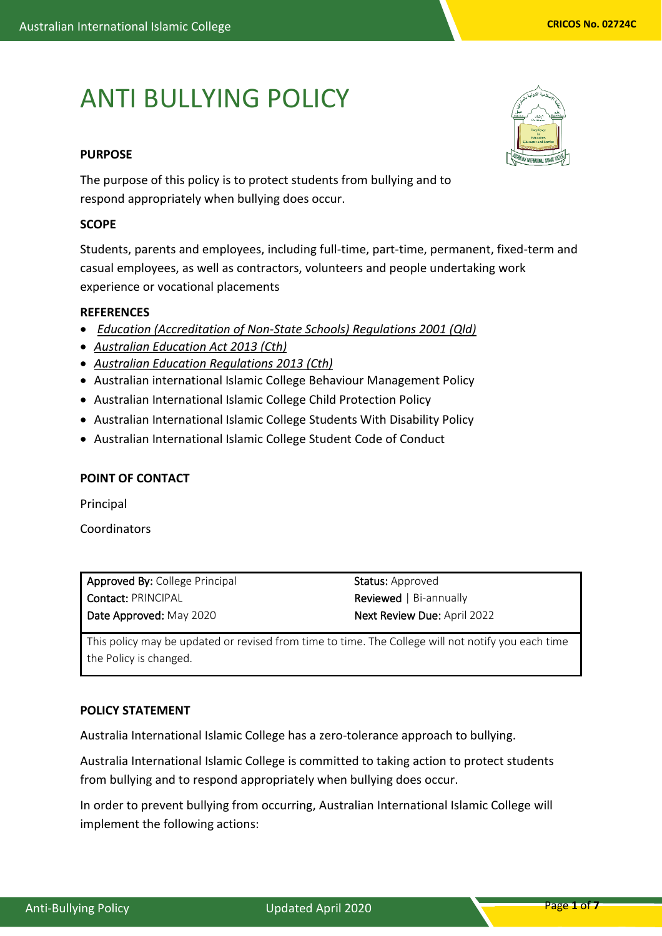# ANTI BULLYING POLICY

# **PURPOSE**

The purpose of this policy is to protect students from bullying and to respond appropriately when bullying does occur.

## **SCOPE**

Students, parents and employees, including full-time, part-time, permanent, fixed-term and casual employees, as well as contractors, volunteers and people undertaking work experience or vocational placements

## **REFERENCES**

- *[Education \(Accreditation of Non-State Schools\) Regulations 2001 \(Qld\)](https://www.legislation.qld.gov.au/LEGISLTN/CURRENT/E/EducAccNSSR01.pdf)*
- *[Australian Education Act 2013 \(Cth\)](http://www.comlaw.gov.au/Details/C2013A00067)*
- *[Australian Education Regulations 2013 \(Cth\)](http://www.comlaw.gov.au/Details/F2013L01476)*
- Australian international Islamic College Behaviour Management Policy
- Australian International Islamic College Child Protection Policy
- Australian International Islamic College Students With Disability Policy
- Australian International Islamic College Student Code of Conduct

## **POINT OF CONTACT**

Principal

Coordinators

| <b>Approved By: College Principal</b> | <b>Status:</b> Approved            |
|---------------------------------------|------------------------------------|
| <b>Contact: PRINCIPAL</b>             | <b>Reviewed</b>   Bi-annually      |
| Date Approved: May 2020               | <b>Next Review Due: April 2022</b> |

This policy may be updated or revised from time to time. The College will not notify you each time the Policy is changed.

## **POLICY STATEMENT**

Australia International Islamic College has a zero-tolerance approach to bullying.

Australia International Islamic College is committed to taking action to protect students from bullying and to respond appropriately when bullying does occur.

In order to prevent bullying from occurring, Australian International Islamic College will implement the following actions:

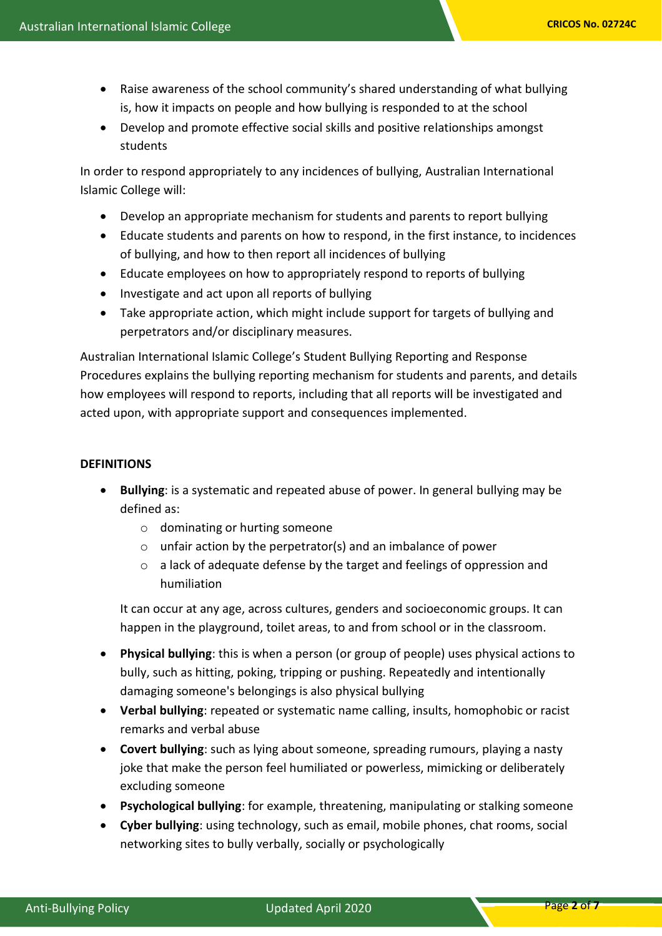- Raise awareness of the school community's shared understanding of what bullying is, how it impacts on people and how bullying is responded to at the school
- Develop and promote effective social skills and positive relationships amongst students

In order to respond appropriately to any incidences of bullying, Australian International Islamic College will:

- Develop an appropriate mechanism for students and parents to report bullying
- Educate students and parents on how to respond, in the first instance, to incidences of bullying, and how to then report all incidences of bullying
- Educate employees on how to appropriately respond to reports of bullying
- Investigate and act upon all reports of bullying
- Take appropriate action, which might include support for targets of bullying and perpetrators and/or disciplinary measures.

Australian International Islamic College's Student Bullying Reporting and Response Procedures explains the bullying reporting mechanism for students and parents, and details how employees will respond to reports, including that all reports will be investigated and acted upon, with appropriate support and consequences implemented.

## **DEFINITIONS**

- **Bullying**: is a systematic and repeated abuse of power. In general bullying may be defined as:
	- o dominating or hurting someone
	- o unfair action by the perpetrator(s) and an imbalance of power
	- o a lack of adequate defense by the target and feelings of oppression and humiliation

It can occur at any age, across cultures, genders and socioeconomic groups. It can happen in the playground, toilet areas, to and from school or in the classroom.

- **Physical bullying**: this is when a person (or group of people) uses physical actions to bully, such as hitting, poking, tripping or pushing. Repeatedly and intentionally damaging someone's belongings is also physical bullying
- **Verbal bullying**: repeated or systematic name calling, insults, homophobic or racist remarks and verbal abuse
- **Covert bullying**: such as lying about someone, spreading rumours, playing a nasty joke that make the person feel humiliated or powerless, mimicking or deliberately excluding someone
- **Psychological bullying**: for example, threatening, manipulating or stalking someone
- **Cyber bullying**: using technology, such as email, mobile phones, chat rooms, social networking sites to bully verbally, socially or psychologically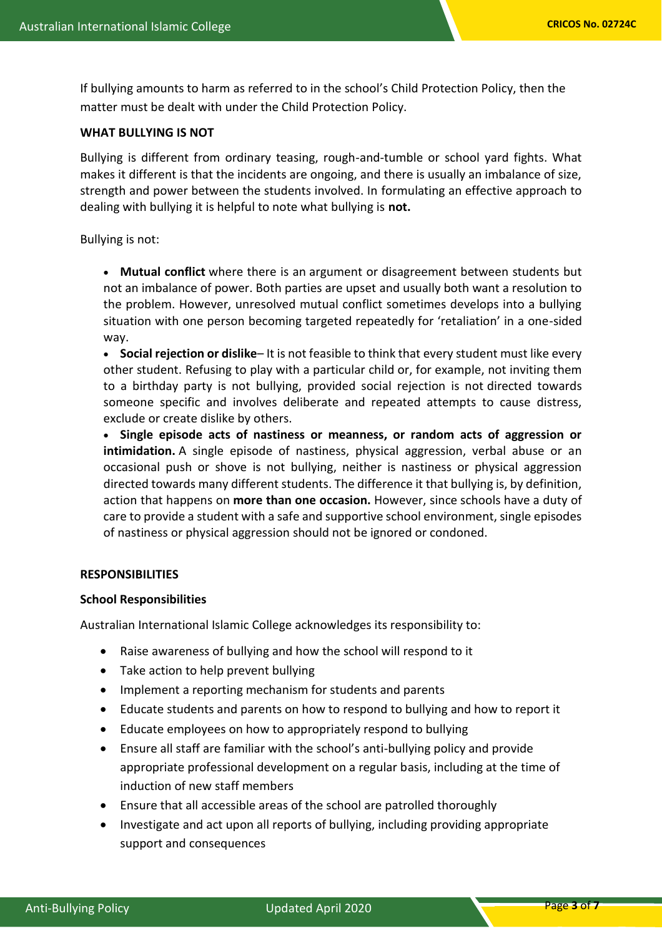If bullying amounts to harm as referred to in the school's Child Protection Policy, then the matter must be dealt with under the Child Protection Policy.

## **WHAT BULLYING IS NOT**

Bullying is different from ordinary teasing, rough-and-tumble or school yard fights. What makes it different is that the incidents are ongoing, and there is usually an imbalance of size, strength and power between the students involved. In formulating an effective approach to dealing with bullying it is helpful to note what bullying is **not.**

Bullying is not:

• **Mutual conflict** where there is an argument or disagreement between students but not an imbalance of power. Both parties are upset and usually both want a resolution to the problem. However, unresolved mutual conflict sometimes develops into a bullying situation with one person becoming targeted repeatedly for 'retaliation' in a one-sided way.

• **Social rejection or dislike**– It is not feasible to think that every student must like every other student. Refusing to play with a particular child or, for example, not inviting them to a birthday party is not bullying, provided social rejection is not directed towards someone specific and involves deliberate and repeated attempts to cause distress, exclude or create dislike by others.

• **Single episode acts of nastiness or meanness, or random acts of aggression or intimidation.** A single episode of nastiness, physical aggression, verbal abuse or an occasional push or shove is not bullying, neither is nastiness or physical aggression directed towards many different students. The difference it that bullying is, by definition, action that happens on **more than one occasion.** However, since schools have a duty of care to provide a student with a safe and supportive school environment, single episodes of nastiness or physical aggression should not be ignored or condoned.

## **RESPONSIBILITIES**

## **School Responsibilities**

Australian International Islamic College acknowledges its responsibility to:

- Raise awareness of bullying and how the school will respond to it
- Take action to help prevent bullying
- Implement a reporting mechanism for students and parents
- Educate students and parents on how to respond to bullying and how to report it
- Educate employees on how to appropriately respond to bullying
- Ensure all staff are familiar with the school's anti-bullying policy and provide appropriate professional development on a regular basis, including at the time of induction of new staff members
- Ensure that all accessible areas of the school are patrolled thoroughly
- Investigate and act upon all reports of bullying, including providing appropriate support and consequences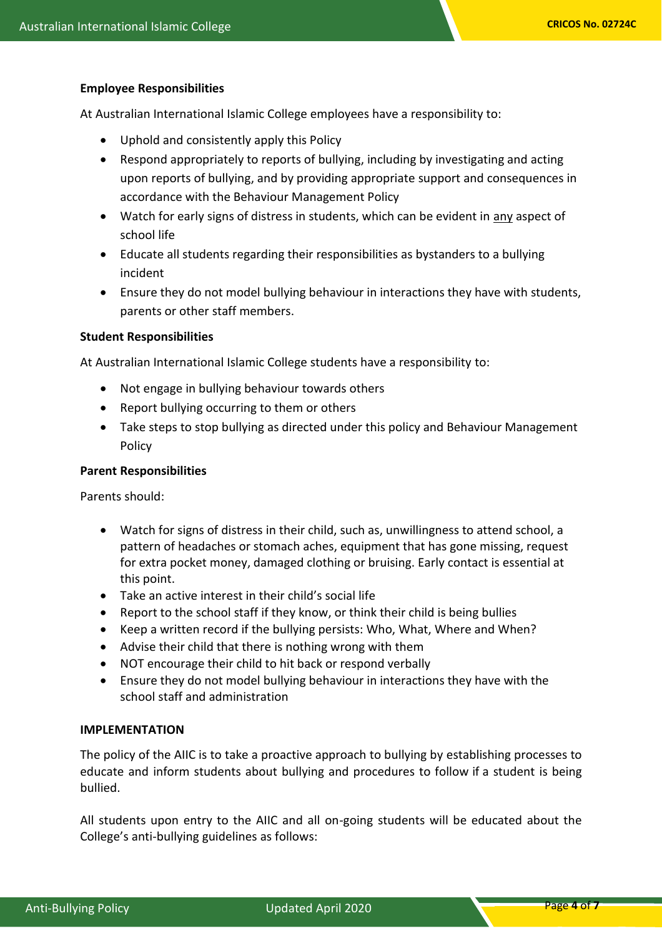#### **Employee Responsibilities**

At Australian International Islamic College employees have a responsibility to:

- Uphold and consistently apply this Policy
- Respond appropriately to reports of bullying, including by investigating and acting upon reports of bullying, and by providing appropriate support and consequences in accordance with the Behaviour Management Policy
- Watch for early signs of distress in students, which can be evident in any aspect of school life
- Educate all students regarding their responsibilities as bystanders to a bullying incident
- Ensure they do not model bullying behaviour in interactions they have with students, parents or other staff members.

#### **Student Responsibilities**

At Australian International Islamic College students have a responsibility to:

- Not engage in bullying behaviour towards others
- Report bullying occurring to them or others
- Take steps to stop bullying as directed under this policy and Behaviour Management Policy

#### **Parent Responsibilities**

Parents should:

- Watch for signs of distress in their child, such as, unwillingness to attend school, a pattern of headaches or stomach aches, equipment that has gone missing, request for extra pocket money, damaged clothing or bruising. Early contact is essential at this point.
- Take an active interest in their child's social life
- Report to the school staff if they know, or think their child is being bullies
- Keep a written record if the bullying persists: Who, What, Where and When?
- Advise their child that there is nothing wrong with them
- NOT encourage their child to hit back or respond verbally
- Ensure they do not model bullying behaviour in interactions they have with the school staff and administration

#### **IMPLEMENTATION**

The policy of the AIIC is to take a proactive approach to bullying by establishing processes to educate and inform students about bullying and procedures to follow if a student is being bullied.

All students upon entry to the AIIC and all on-going students will be educated about the College's anti-bullying guidelines as follows: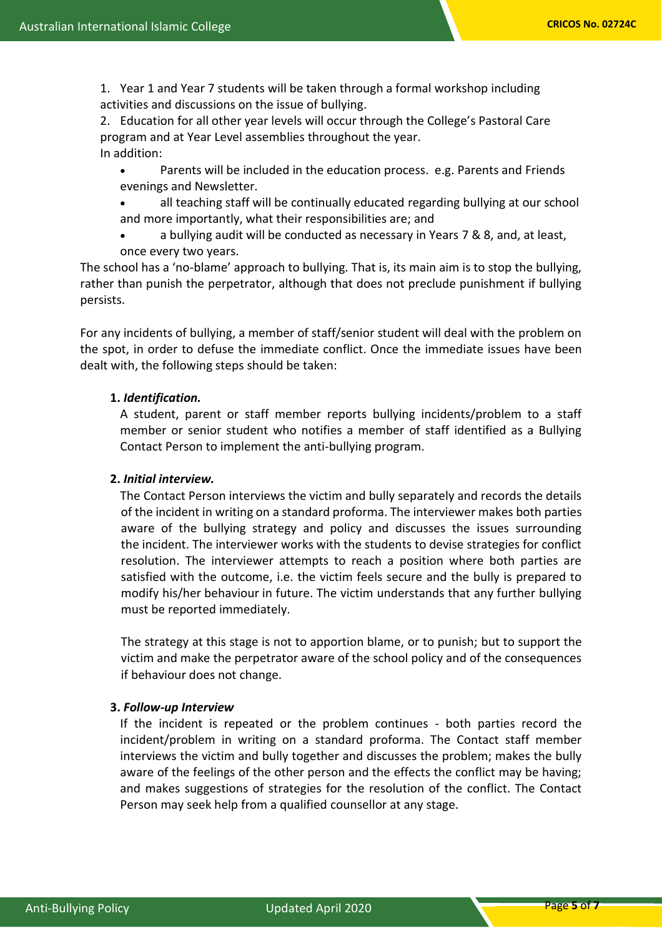1. Year 1 and Year 7 students will be taken through a formal workshop including activities and discussions on the issue of bullying.

2. Education for all other year levels will occur through the College's Pastoral Care program and at Year Level assemblies throughout the year. In addition:

- Parents will be included in the education process. e.g. Parents and Friends evenings and Newsletter.
- all teaching staff will be continually educated regarding bullying at our school and more importantly, what their responsibilities are; and
- a bullying audit will be conducted as necessary in Years 7 & 8, and, at least, once every two years.

The school has a 'no-blame' approach to bullying. That is, its main aim is to stop the bullying, rather than punish the perpetrator, although that does not preclude punishment if bullying persists.

For any incidents of bullying, a member of staff/senior student will deal with the problem on the spot, in order to defuse the immediate conflict. Once the immediate issues have been dealt with, the following steps should be taken:

# **1.** *Identification.*

A student, parent or staff member reports bullying incidents/problem to a staff member or senior student who notifies a member of staff identified as a Bullying Contact Person to implement the anti-bullying program.

# **2.** *Initial interview.*

The Contact Person interviews the victim and bully separately and records the details of the incident in writing on a standard proforma. The interviewer makes both parties aware of the bullying strategy and policy and discusses the issues surrounding the incident. The interviewer works with the students to devise strategies for conflict resolution. The interviewer attempts to reach a position where both parties are satisfied with the outcome, i.e. the victim feels secure and the bully is prepared to modify his/her behaviour in future. The victim understands that any further bullying must be reported immediately.

The strategy at this stage is not to apportion blame, or to punish; but to support the victim and make the perpetrator aware of the school policy and of the consequences if behaviour does not change.

## **3.** *Follow-up Interview*

If the incident is repeated or the problem continues - both parties record the incident/problem in writing on a standard proforma. The Contact staff member interviews the victim and bully together and discusses the problem; makes the bully aware of the feelings of the other person and the effects the conflict may be having; and makes suggestions of strategies for the resolution of the conflict. The Contact Person may seek help from a qualified counsellor at any stage.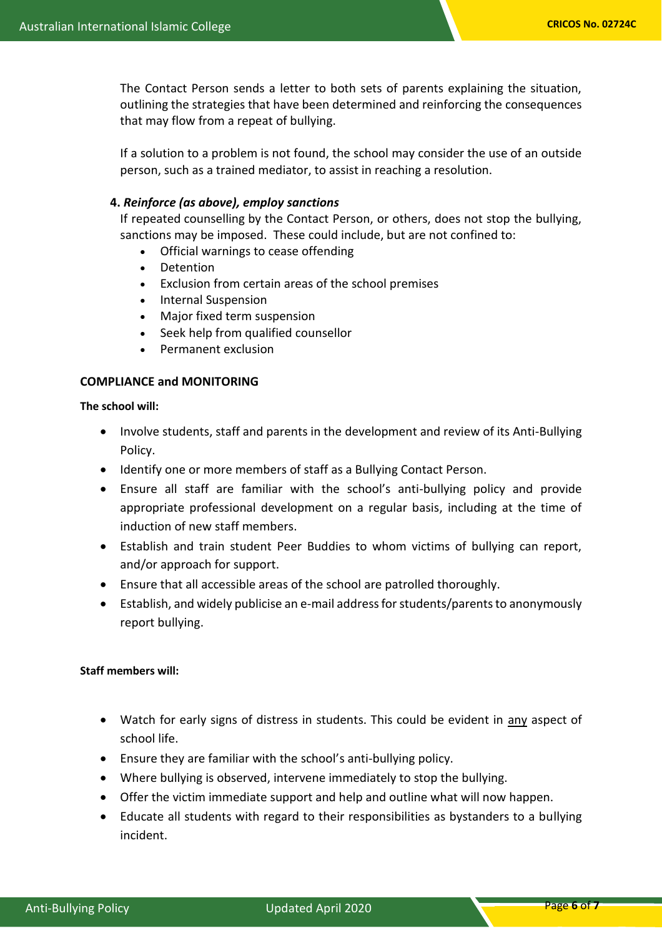The Contact Person sends a letter to both sets of parents explaining the situation, outlining the strategies that have been determined and reinforcing the consequences that may flow from a repeat of bullying.

If a solution to a problem is not found, the school may consider the use of an outside person, such as a trained mediator, to assist in reaching a resolution.

## **4.** *Reinforce (as above), employ sanctions*

If repeated counselling by the Contact Person, or others, does not stop the bullying, sanctions may be imposed. These could include, but are not confined to:

- Official warnings to cease offending
- Detention
- Exclusion from certain areas of the school premises
- Internal Suspension
- Major fixed term suspension
- Seek help from qualified counsellor
- Permanent exclusion

## **COMPLIANCE and MONITORING**

**The school will:**

- Involve students, staff and parents in the development and review of its Anti-Bullying Policy.
- Identify one or more members of staff as a Bullying Contact Person.
- Ensure all staff are familiar with the school's anti-bullying policy and provide appropriate professional development on a regular basis, including at the time of induction of new staff members.
- Establish and train student Peer Buddies to whom victims of bullying can report, and/or approach for support.
- Ensure that all accessible areas of the school are patrolled thoroughly.
- Establish, and widely publicise an e-mail address for students/parents to anonymously report bullying.

#### **Staff members will:**

- Watch for early signs of distress in students. This could be evident in any aspect of school life.
- Ensure they are familiar with the school's anti-bullying policy.
- Where bullying is observed, intervene immediately to stop the bullying.
- Offer the victim immediate support and help and outline what will now happen.
- Educate all students with regard to their responsibilities as bystanders to a bullying incident.